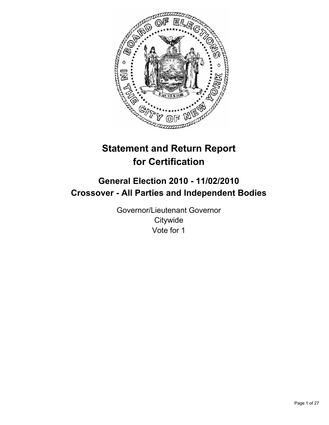

# **Statement and Return Report for Certification**

## **General Election 2010 - 11/02/2010 Crossover - All Parties and Independent Bodies**

Governor/Lieutenant Governor **Citywide** Vote for 1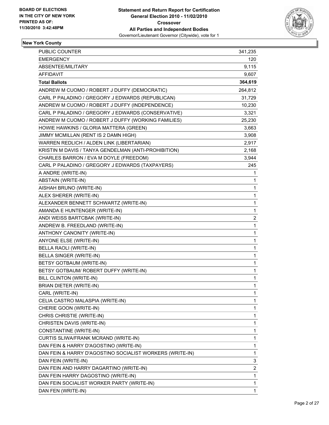

| PUBLIC COUNTER                                           | 341,235                 |
|----------------------------------------------------------|-------------------------|
| <b>EMERGENCY</b>                                         | 120                     |
| ABSENTEE/MILITARY                                        | 9,115                   |
| <b>AFFIDAVIT</b>                                         | 9,607                   |
| <b>Total Ballots</b>                                     | 364,619                 |
| ANDREW M CUOMO / ROBERT J DUFFY (DEMOCRATIC)             | 264,812                 |
| CARL P PALADINO / GREGORY J EDWARDS (REPUBLICAN)         | 31,729                  |
| ANDREW M CUOMO / ROBERT J DUFFY (INDEPENDENCE)           | 10,230                  |
| CARL P PALADINO / GREGORY J EDWARDS (CONSERVATIVE)       | 3,321                   |
| ANDREW M CUOMO / ROBERT J DUFFY (WORKING FAMILIES)       | 25,230                  |
| HOWIE HAWKINS / GLORIA MATTERA (GREEN)                   | 3,663                   |
| JIMMY MCMILLAN (RENT IS 2 DAMN HIGH)                     | 3,908                   |
| WARREN REDLICH / ALDEN LINK (LIBERTARIAN)                | 2,917                   |
| KRISTIN M DAVIS / TANYA GENDELMAN (ANTI-PROHIBITION)     | 2,168                   |
| CHARLES BARRON / EVA M DOYLE (FREEDOM)                   | 3,944                   |
| CARL P PALADINO / GREGORY J EDWARDS (TAXPAYERS)          | 245                     |
| A ANDRE (WRITE-IN)                                       | 1                       |
| ABSTAIN (WRITE-IN)                                       | 1                       |
| AISHAH BRUNO (WRITE-IN)                                  | 1                       |
| ALEX SHERER (WRITE-IN)                                   | 1                       |
| ALEXANDER BENNETT SCHWARTZ (WRITE-IN)                    | 1                       |
| AMANDA E HUNTENGER (WRITE-IN)                            | 1                       |
| ANDI WEISS BARTCBAK (WRITE-IN)                           | 2                       |
| ANDREW B. FREEDLAND (WRITE-IN)                           | $\mathbf{1}$            |
| ANTHONY CANONITY (WRITE-IN)                              | 1                       |
| ANYONE ELSE (WRITE-IN)                                   | 1                       |
| BELLA RAOLI (WRITE-IN)                                   | 1                       |
| BELLA SINGER (WRITE-IN)                                  | 1                       |
| BETSY GOTBAUM (WRITE-IN)                                 | 1                       |
| BETSY GOTBAUM/ ROBERT DUFFY (WRITE-IN)                   | 1                       |
| <b>BILL CLINTON (WRITE-IN)</b>                           | 1                       |
| BRIAN DIETER (WRITE-IN)                                  | $\mathbf{1}$            |
| CARL (WRITE-IN)                                          | 1                       |
| CELIA CASTRO MALASPIA (WRITE-IN)                         | 1                       |
| CHERIE GOON (WRITE-IN)                                   | 1                       |
| CHRIS CHRISTIE (WRITE-IN)                                | 1                       |
| CHRISTEN DAVIS (WRITE-IN)                                | 1                       |
| CONSTANTINE (WRITE-IN)                                   | 1                       |
| CURTIS SLIWA/FRANK MCRAND (WRITE-IN)                     | 1                       |
| DAN FEIN & HARRY D'AGOSTINO (WRITE-IN)                   | 1                       |
| DAN FEIN & HARRY D'AGOSTINO SOCIALIST WORKERS (WRITE-IN) | 1                       |
| DAN FEIN (WRITE-IN)                                      | 3                       |
| DAN FEIN AND HARRY DAGARTINO (WRITE-IN)                  | $\overline{\mathbf{c}}$ |
| DAN FEIN HARRY DAGOSTINO (WRITE-IN)                      | 1                       |
| DAN FEIN SOCIALIST WORKER PARTY (WRITE-IN)               | 1                       |
| DAN FEN (WRITE-IN)                                       | 1                       |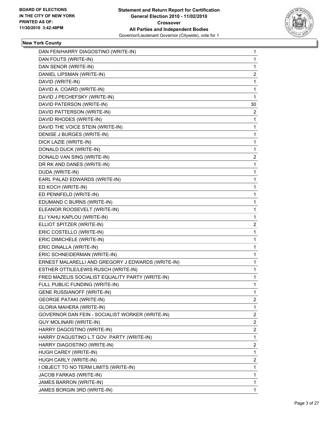

| DAN FEN/HARRY DIAGOSTINO (WRITE-IN)               | 1           |
|---------------------------------------------------|-------------|
| DAN FOUTS (WRITE-IN)                              | 1           |
| DAN SENOR (WRITE-IN)                              | 1           |
| DANIEL LIPSMAN (WRITE-IN)                         | 2           |
| DAVID (WRITE-IN)                                  | 1           |
| DAVID A. COARD (WRITE-IN)                         | 1           |
| DAVID J PECHEFSKY (WRITE-IN)                      | 1           |
| DAVID PATERSON (WRITE-IN)                         | 30          |
| DAVID PATTERSON (WRITE-IN)                        | 2           |
| DAVID RHODES (WRITE-IN)                           | 1           |
| DAVID THE VOICE STEIN (WRITE-IN)                  | 1           |
| DENISE J BURGES (WRITE-IN)                        | 1           |
| DICK LAZIE (WRITE-IN)                             | 1           |
| DONALD DUCK (WRITE-IN)                            | 1           |
| DONALD VAN SING (WRITE-IN)                        | 2           |
| DR RK AND DANES (WRITE-IN)                        | 1           |
| DUDA (WRITE-IN)                                   | 1           |
| EARL PALAD EDWARDS (WRITE-IN)                     | 1           |
| ED KOCH (WRITE-IN)                                | 1           |
| ED PENNFELD (WRITE-IN)                            | 1           |
| EDUMAND C BURNS (WRITE-IN)                        | 1           |
| ELEANOR ROOSEVELT (WRITE-IN)                      | 1           |
| ELI YAHU KAPLOU (WRITE-IN)                        | 1           |
| ELLIOT SPITZER (WRITE-IN)                         | 2           |
| ERIC COSTELLO (WRITE-IN)                          | 1           |
| ERIC DIMICHELE (WRITE-IN)                         | 1           |
| ERIC DINALLA (WRITE-IN)                           | 1           |
| ERIC SCHNEIDERMAN (WRITE-IN)                      | 1           |
| ERNEST MALARELLI AND GREGORY J EDWARDS (WRITE-IN) | 1           |
| ESTHER OTTILE/LEWIS RUSCH (WRITE-IN)              | 1           |
| FRED MAZELIS SOCIALIST EQUALITY PARTY (WRITE-IN)  | 1           |
| FULL PUBLIC FUNDING (WRITE-IN)                    | 1           |
| <b>GENE RUSSIANOFF (WRITE-IN)</b>                 | 1           |
| <b>GEORGE PATAKI (WRITE-IN)</b>                   | 2           |
| GLORIA MAHERA (WRITE-IN)                          | 1           |
| GOVERNOR DAN FEIN - SOCIALIST WORKER (WRITE-IN)   | 2           |
| GUY MOLINARI (WRITE-IN)                           | 2           |
| HARRY DAGOSTINO (WRITE-IN)                        | 2           |
| HARRY D'AGUSTINO L.T GOV. PARTY (WRITE-IN)        | 1           |
| HARRY DIAGOSTINO (WRITE-IN)                       | 2           |
| HUGH CAREY (WRITE-IN)                             | 1           |
| HUGH CARLY (WRITE-IN)                             | 2           |
| I OBJECT TO NO TERM LIMITS (WRITE-IN)             | 1           |
| JACOB FARKAS (WRITE-IN)                           | 1           |
| JAMES BARRON (WRITE-IN)                           | 1           |
| JAMES BORGIN 3RD (WRITE-IN)                       | $\mathbf 1$ |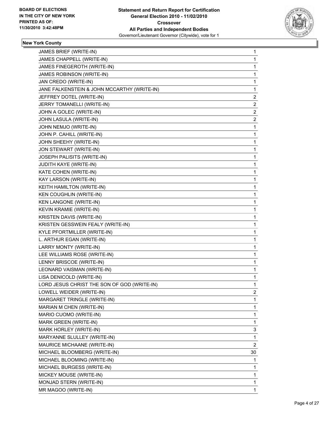

| JAMES BRIEF (WRITE-IN)                      | 1            |
|---------------------------------------------|--------------|
| JAMES CHAPPELL (WRITE-IN)                   | 1            |
| JAMES FINEGEROTH (WRITE-IN)                 | 1            |
| JAMES ROBINSON (WRITE-IN)                   | 1            |
| JAN CREDO (WRITE-IN)                        | 1            |
| JANE FALKENSTEIN & JOHN MCCARTHY (WRITE-IN) | 1            |
| JEFFREY DOTEL (WRITE-IN)                    | $\mathbf{2}$ |
| JERRY TOMANELLI (WRITE-IN)                  | 2            |
| JOHN A GOLEC (WRITE-IN)                     | 2            |
| JOHN LASULA (WRITE-IN)                      | 2            |
| JOHN NEMJO (WRITE-IN)                       | 1            |
| JOHN P. CAHILL (WRITE-IN)                   | 1            |
| JOHN SHEEHY (WRITE-IN)                      | 1            |
| JON STEWART (WRITE-IN)                      | 1            |
| JOSEPH PALISITS (WRITE-IN)                  | 1            |
| JUDITH KAYE (WRITE-IN)                      | 1            |
| KATE COHEN (WRITE-IN)                       | 1            |
| KAY LARSON (WRITE-IN)                       | 1            |
| KEITH HAMILTON (WRITE-IN)                   | 1            |
| KEN COUGHLIN (WRITE-IN)                     | 1            |
| KEN LANGONE (WRITE-IN)                      | 1            |
| KEVIN KRAMIE (WRITE-IN)                     | 1            |
| KRISTEN DAVIS (WRITE-IN)                    | 1            |
| KRISTEN GESSWEIN FEALY (WRITE-IN)           | 1            |
| KYLE PFORTMILLER (WRITE-IN)                 | 1            |
| L. ARTHUR EGAN (WRITE-IN)                   | 1            |
| LARRY MONTY (WRITE-IN)                      | 1            |
| LEE WILLIAMS ROSE (WRITE-IN)                | 1            |
| LENNY BRISCOE (WRITE-IN)                    | 1            |
| LEONARD VAISMAN (WRITE-IN)                  | 1            |
| LISA DENICOLD (WRITE-IN)                    | 1            |
| LORD JESUS CHRIST THE SON OF GOD (WRITE-IN) | 1            |
| LOWELL WEIDER (WRITE-IN)                    | 2            |
| MARGARET TRINGLE (WRITE-IN)                 | 1            |
| MARIAN M CHEN (WRITE-IN)                    | 1            |
| MARIO CUOMO (WRITE-IN)                      | 1            |
| MARK GREEN (WRITE-IN)                       | 1            |
| MARK HORLEY (WRITE-IN)                      | 3            |
| MARYANNE SLULLEY (WRITE-IN)                 | 1            |
| MAURICE MICHAANE (WRITE-IN)                 | 2            |
| MICHAEL BLOOMBERG (WRITE-IN)                | 30           |
| MICHAEL BLOOMING (WRITE-IN)                 | 1            |
| MICHAEL BURGESS (WRITE-IN)                  | 1            |
| MICKEY MOUSE (WRITE-IN)                     | 1            |
| MONJAD STERN (WRITE-IN)                     | 1            |
| MR MAGOO (WRITE-IN)                         | $\mathbf{1}$ |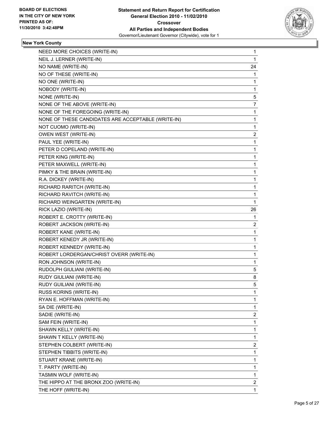

| NEED MORE CHOICES (WRITE-IN)                       | 1            |
|----------------------------------------------------|--------------|
| NEIL J. LERNER (WRITE-IN)                          | 1            |
| NO NAME (WRITE-IN)                                 | 24           |
| NO OF THESE (WRITE-IN)                             | 1            |
| NO ONE (WRITE-IN)                                  | 1            |
| NOBODY (WRITE-IN)                                  | 1            |
| NONE (WRITE-IN)                                    | 5            |
| NONE OF THE ABOVE (WRITE-IN)                       | 7            |
| NONE OF THE FOREGOING (WRITE-IN)                   | 1            |
| NONE OF THESE CANDIDATES ARE ACCEPTABLE (WRITE-IN) | 1            |
| NOT CUOMO (WRITE-IN)                               | 1            |
| OWEN WEST (WRITE-IN)                               | 2            |
| PAUL YEE (WRITE-IN)                                | 1            |
| PETER D COPELAND (WRITE-IN)                        | 1            |
| PETER KING (WRITE-IN)                              | 1            |
| PETER MAXWELL (WRITE-IN)                           | 1            |
| PIMKY & THE BRAIN (WRITE-IN)                       | 1            |
| R.A. DICKEY (WRITE-IN)                             | 1            |
| RICHARD RARITCH (WRITE-IN)                         | 1            |
| RICHARD RAVITCH (WRITE-IN)                         | 1            |
| RICHARD WEINGARTEN (WRITE-IN)                      | $\mathbf{1}$ |
| RICK LAZIO (WRITE-IN)                              | 26           |
| ROBERT E. CROTTY (WRITE-IN)                        | 1            |
| ROBERT JACKSON (WRITE-IN)                          | 2            |
| ROBERT KANE (WRITE-IN)                             | 1            |
| ROBERT KENEDY JR (WRITE-IN)                        | 1            |
| ROBERT KENNEDY (WRITE-IN)                          | 1            |
| ROBERT LORDERGAN/CHRIST OVERR (WRITE-IN)           | 1            |
| RON JOHNSON (WRITE-IN)                             | 1            |
| RUDOLPH GIULIANI (WRITE-IN)                        | 5            |
| RUDY GIULIANI (WRITE-IN)                           | 8            |
| RUDY GUILIANI (WRITE-IN)                           | 5            |
| RUSS KORINS (WRITE-IN)                             | 1            |
| RYAN E. HOFFMAN (WRITE-IN)                         | 1            |
| SA DIE (WRITE-IN)                                  | 1            |
| SADIE (WRITE-IN)                                   | 2            |
| SAM FEIN (WRITE-IN)                                | 1            |
| SHAWN KELLY (WRITE-IN)                             | 1            |
| SHAWN T KELLY (WRITE-IN)                           | 1            |
| STEPHEN COLBERT (WRITE-IN)                         | 2            |
| STEPHEN TIBBITS (WRITE-IN)                         | 1            |
| STUART KRANE (WRITE-IN)                            | 1            |
| T. PARTY (WRITE-IN)                                | 1            |
| TASMIN WOLF (WRITE-IN)                             | 1            |
| THE HIPPO AT THE BRONX ZOO (WRITE-IN)              | 2            |
| THE HOFF (WRITE-IN)                                | 1            |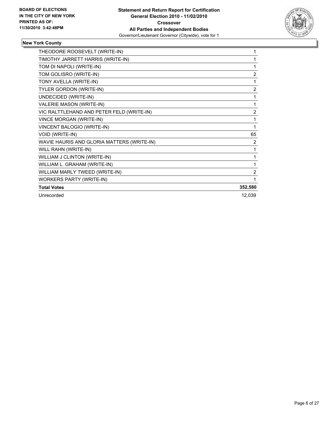

| THEODORE ROOSEVELT (WRITE-IN)              | 1              |
|--------------------------------------------|----------------|
| TIMOTHY JARRETT HARRIS (WRITE-IN)          | 1              |
| TOM DI NAPOLI (WRITE-IN)                   | 1              |
| TOM GOLISRO (WRITE-IN)                     | $\overline{2}$ |
| TONY AVELLA (WRITE-IN)                     | 1              |
| <b>TYLER GORDON (WRITE-IN)</b>             | $\overline{2}$ |
| UNDECIDED (WRITE-IN)                       | 1              |
| <b>VALERIE MASON (WRITE-IN)</b>            | 1              |
| VIC RALTTLEHAND AND PETER FELD (WRITE-IN)  | $\overline{2}$ |
| <b>VINCE MORGAN (WRITE-IN)</b>             | 1              |
| VINCENT BALOGIO (WRITE-IN)                 | 1              |
| VOID (WRITE-IN)                            | 65             |
| WAVIE HAURIS AND GLORIA MATTERS (WRITE-IN) | 2              |
| WILL RAHN (WRITE-IN)                       | 1              |
| WILLIAM J CLINTON (WRITE-IN)               | 1              |
| WILLIAM L. GRAHAM (WRITE-IN)               | 1              |
| WILLIAM MARLY TWEED (WRITE-IN)             | 2              |
| <b>WORKERS PARTY (WRITE-IN)</b>            | 1              |
| <b>Total Votes</b>                         | 352,580        |
| Unrecorded                                 | 12,039         |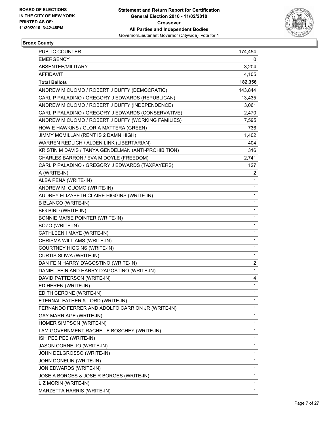

## **Bronx County**

| PUBLIC COUNTER                                       | 174,454        |
|------------------------------------------------------|----------------|
| <b>EMERGENCY</b>                                     | 0              |
| ABSENTEE/MILITARY                                    | 3,204          |
| <b>AFFIDAVIT</b>                                     | 4,105          |
| <b>Total Ballots</b>                                 | 182,356        |
| ANDREW M CUOMO / ROBERT J DUFFY (DEMOCRATIC)         | 143,844        |
| CARL P PALADINO / GREGORY J EDWARDS (REPUBLICAN)     | 13,435         |
| ANDREW M CUOMO / ROBERT J DUFFY (INDEPENDENCE)       | 3,061          |
| CARL P PALADINO / GREGORY J EDWARDS (CONSERVATIVE)   | 2,470          |
| ANDREW M CUOMO / ROBERT J DUFFY (WORKING FAMILIES)   | 7,595          |
| HOWIE HAWKINS / GLORIA MATTERA (GREEN)               | 736            |
| JIMMY MCMILLAN (RENT IS 2 DAMN HIGH)                 | 1,402          |
| WARREN REDLICH / ALDEN LINK (LIBERTARIAN)            | 404            |
| KRISTIN M DAVIS / TANYA GENDELMAN (ANTI-PROHIBITION) | 316            |
| CHARLES BARRON / EVA M DOYLE (FREEDOM)               | 2,741          |
| CARL P PALADINO / GREGORY J EDWARDS (TAXPAYERS)      | 127            |
| A (WRITE-IN)                                         | $\overline{2}$ |
| ALBA PENA (WRITE-IN)                                 | $\mathbf{1}$   |
| ANDREW M. CUOMO (WRITE-IN)                           | $\mathbf{1}$   |
| AUDREY ELIZABETH CLAIRE HIGGINS (WRITE-IN)           | 1              |
| <b>B BLANCO (WRITE-IN)</b>                           | $\mathbf{1}$   |
| BIG BIRD (WRITE-IN)                                  | $\mathbf{1}$   |
| BONNIE MARIE POINTER (WRITE-IN)                      | 1              |
| BOZO (WRITE-IN)                                      | $\mathbf{1}$   |
| CATHLEEN I MAYE (WRITE-IN)                           | $\mathbf{1}$   |
| CHRISMA WILLIAMS (WRITE-IN)                          | 1              |
| COURTNEY HIGGINS (WRITE-IN)                          | $\mathbf{1}$   |
| CURTIS SLIWA (WRITE-IN)                              | $\mathbf{1}$   |
| DAN FEIN HARRY D'AGOSTINO (WRITE-IN)                 | $\overline{c}$ |
| DANIEL FEIN AND HARRY D'AGOSTINO (WRITE-IN)          | $\mathbf{1}$   |
| DAVID PATTERSON (WRITE-IN)                           | 4              |
| ED HEREN (WRITE-IN)                                  | $\mathbf{1}$   |
| EDITH CERONE (WRITE-IN)                              | 1              |
| ETERNAL FATHER & LORD (WRITE-IN)                     | 1              |
| FERNANDO FERRER AND ADOLFO CARRION JR (WRITE-IN)     | 1              |
| GAY MARRIAGE (WRITE-IN)                              | 1              |
| HOMER SIMPSON (WRITE-IN)                             | 1              |
| I AM GOVERNMENT RACHEL E BOSCHEY (WRITE-IN)          | 1              |
| ISH PEE PEE (WRITE-IN)                               | $\mathbf{1}$   |
| JASON CORNELIO (WRITE-IN)                            | 1              |
| JOHN DELGROSSO (WRITE-IN)                            | 1              |
| JOHN DONELIN (WRITE-IN)                              | 1              |
| JON EDWARDS (WRITE-IN)                               | 1              |
| JOSE A BORGES & JOSE R BORGES (WRITE-IN)             | 1              |
| LIZ MORIN (WRITE-IN)                                 | 1              |
| MARZETTA HARRIS (WRITE-IN)                           | $\mathbf{1}$   |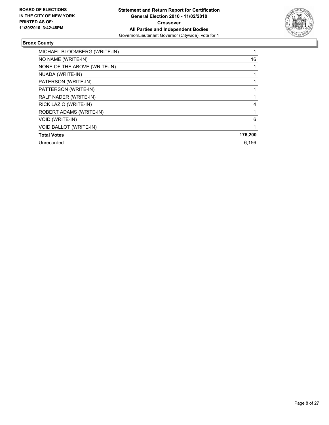

## **Bronx County**

| MICHAEL BLOOMBERG (WRITE-IN)  |         |
|-------------------------------|---------|
| NO NAME (WRITE-IN)            | 16      |
| NONE OF THE ABOVE (WRITE-IN)  |         |
| NUADA (WRITE-IN)              |         |
| PATERSON (WRITE-IN)           |         |
| PATTERSON (WRITE-IN)          |         |
| RALF NADER (WRITE-IN)         |         |
| RICK LAZIO (WRITE-IN)         | 4       |
| ROBERT ADAMS (WRITE-IN)       |         |
| <b>VOID (WRITE-IN)</b>        | 6       |
| <b>VOID BALLOT (WRITE-IN)</b> |         |
| <b>Total Votes</b>            | 176,200 |
| Unrecorded                    | 6.156   |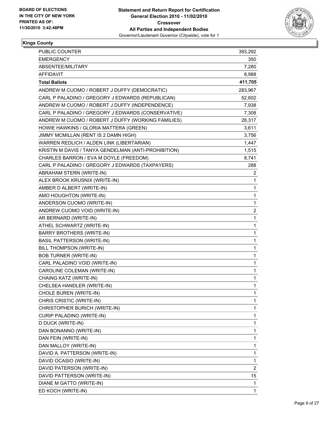

### **Kings County**

| <b>PUBLIC COUNTER</b>                                | 393,292        |
|------------------------------------------------------|----------------|
| <b>EMERGENCY</b>                                     | 350            |
| ABSENTEE/MILITARY                                    | 7,280          |
| AFFIDAVIT                                            | 8,988          |
| <b>Total Ballots</b>                                 | 411,705        |
| ANDREW M CUOMO / ROBERT J DUFFY (DEMOCRATIC)         | 283,967        |
| CARL P PALADINO / GREGORY J EDWARDS (REPUBLICAN)     | 52,602         |
| ANDREW M CUOMO / ROBERT J DUFFY (INDEPENDENCE)       | 7,938          |
| CARL P PALADINO / GREGORY J EDWARDS (CONSERVATIVE)   | 7,308          |
| ANDREW M CUOMO / ROBERT J DUFFY (WORKING FAMILIES)   | 28,317         |
| HOWIE HAWKINS / GLORIA MATTERA (GREEN)               | 3,611          |
| JIMMY MCMILLAN (RENT IS 2 DAMN HIGH)                 | 3,756          |
| WARREN REDLICH / ALDEN LINK (LIBERTARIAN)            | 1,447          |
| KRISTIN M DAVIS / TANYA GENDELMAN (ANTI-PROHIBITION) | 1,515          |
| CHARLES BARRON / EVA M DOYLE (FREEDOM)               | 8,741          |
| CARL P PALADINO / GREGORY J EDWARDS (TAXPAYERS)      | 288            |
| ABRAHAM STERN (WRITE-IN)                             | 2              |
| ALEX BROOK KRUSNIX (WRITE-IN)                        | 1              |
| AMBER D ALBERT (WRITE-IN)                            | 1              |
| AMO HOUGHTON (WRITE-IN)                              | 1              |
| ANDERSON CUOMO (WRITE-IN)                            | $\mathbf 1$    |
| ANDREW CUOMO VOID (WRITE-IN)                         | 2              |
| AR BERNARD (WRITE-IN)                                | 1              |
| ATHEL SCHWARTZ (WRITE-IN)                            | 1              |
| <b>BARRY BROTHERS (WRITE-IN)</b>                     | 1              |
| <b>BASIL PATTERSON (WRITE-IN)</b>                    | 1              |
| BILL THOMPSON (WRITE-IN)                             | $\mathbf 1$    |
| <b>BOB TURNER (WRITE-IN)</b>                         | 1              |
| CARL PALADINO VOID (WRITE-IN)                        | 1              |
| CAROLINE COLEMAN (WRITE-IN)                          | $\mathbf 1$    |
| CHAING KATZ (WRITE-IN)                               | 1              |
| CHELSEA HANDLER (WRITE-IN)                           | 1              |
| CHOLE BUREN (WRITE-IN)                               | 1              |
| CHRIS CRISTIC (WRITE-IN)                             | 1              |
| CHRISTOPHER BURICH (WRITE-IN)                        | 1              |
| CURIP PALADINO (WRITE-IN)                            | 1              |
| D DUCK (WRITE-IN)                                    | 1              |
| DAN BONANNO (WRITE-IN)                               | 1              |
| DAN FEIN (WRITE-IN)                                  | 1              |
| DAN MALLOY (WRITE-IN)                                | 1              |
| DAVID A. PATTERSON (WRITE-IN)                        | 1              |
| DAVID OCASIO (WRITE-IN)                              | $\mathbf 1$    |
| DAVID PATERSON (WRITE-IN)                            | $\overline{c}$ |
| DAVID PATTERSON (WRITE-IN)                           | 15             |
| DIANE M GATTO (WRITE-IN)                             | 1              |
| ED KOCH (WRITE-IN)                                   | 1              |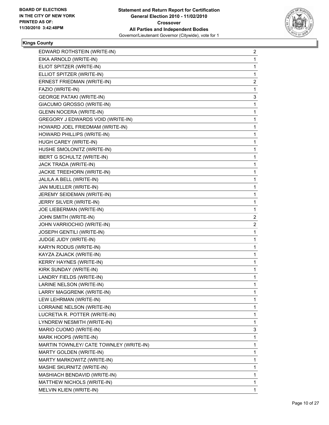

#### **Kings County**

| EDWARD ROTHSTEIN (WRITE-IN)             | 2            |
|-----------------------------------------|--------------|
| EIKA ARNOLD (WRITE-IN)                  | 1            |
| ELIOT SPITZER (WRITE-IN)                | 1            |
| ELLIOT SPITZER (WRITE-IN)               | 1            |
| ERNEST FRIEDMAN (WRITE-IN)              | 2            |
| FAZIO (WRITE-IN)                        | 1            |
| <b>GEORGE PATAKI (WRITE-IN)</b>         | 3            |
| GIACUMO GROSSO (WRITE-IN)               | 1            |
| <b>GLENN NOCERA (WRITE-IN)</b>          | 1            |
| GREGORY J EDWARDS VOID (WRITE-IN)       | 1            |
| HOWARD JOEL FRIEDMAM (WRITE-IN)         | 1            |
| HOWARD PHILLIPS (WRITE-IN)              | 1            |
| HUGH CAREY (WRITE-IN)                   | 1            |
| HUSHE SMOLONITZ (WRITE-IN)              | 1            |
| <b>IBERT G SCHULTZ (WRITE-IN)</b>       | 1            |
| JACK TRADA (WRITE-IN)                   | 1            |
| JACKIE TREEHORN (WRITE-IN)              | 1            |
| JALILA A BELL (WRITE-IN)                | 1            |
| JAN MUELLER (WRITE-IN)                  | 1            |
| JEREMY SEIDEMAN (WRITE-IN)              | 1            |
| JERRY SILVER (WRITE-IN)                 | 1            |
| JOE LIEBERMAN (WRITE-IN)                | 1            |
| JOHN SMITH (WRITE-IN)                   | 2            |
| JOHN VARRIOCHIO (WRITE-IN)              | 2            |
| JOSEPH GENTILI (WRITE-IN)               | 1            |
| JUDGE JUDY (WRITE-IN)                   | 1            |
| KARYN RODUS (WRITE-IN)                  | 1            |
| KAYZA ZAJACK (WRITE-IN)                 | 1            |
| KERRY HAYNES (WRITE-IN)                 | 1            |
| KIRK SUNDAY (WRITE-IN)                  | 1            |
| LANDRY FIELDS (WRITE-IN)                | 1            |
| LARINE NELSON (WRITE-IN)                | 1            |
| LARRY MAGGRENK (WRITE-IN)               | 1            |
| LEW LEHRMAN (WRITE-IN)                  | 1            |
| LORRAINE NELSON (WRITE-IN)              | 1            |
| LUCRETIA R. POTTER (WRITE-IN)           | 1            |
| LYNDREW NESMITH (WRITE-IN)              | 1            |
| MARIO CUOMO (WRITE-IN)                  | 3            |
| MARK HOOPS (WRITE-IN)                   | 1            |
| MARTIN TOWNLEY/ CATE TOWNLEY (WRITE-IN) | 1            |
| <b>MARTY GOLDEN (WRITE-IN)</b>          | 1            |
| MARTY MARKOWITZ (WRITE-IN)              | 1            |
| MASHE SKURNITZ (WRITE-IN)               | 1            |
| MASHIACH BENDAVID (WRITE-IN)            | $\mathbf{1}$ |
| MATTHEW NICHOLS (WRITE-IN)              | 1            |
| MELVIN KLIEN (WRITE-IN)                 | 1            |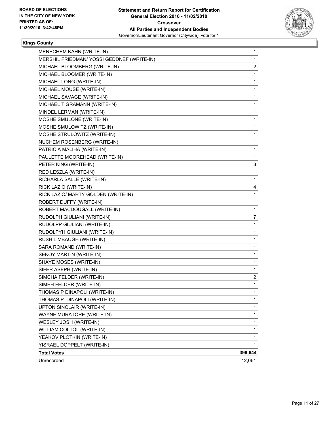

#### **Kings County**

| MENECHEM KAHN (WRITE-IN)                   | 1       |
|--------------------------------------------|---------|
| MERSHIL FRIEDMAN/ YOSSI GEDDNEF (WRITE-IN) | 1       |
| MICHAEL BLOOMBERG (WRITE-IN)               | 2       |
| MICHAEL BLOOMER (WRITE-IN)                 | 1       |
| MICHAEL LONG (WRITE-IN)                    | 1       |
| MICHAEL MOUSE (WRITE-IN)                   | 1       |
| MICHAEL SAVAGE (WRITE-IN)                  | 1       |
| MICHAEL T GRAMANN (WRITE-IN)               | 1       |
| MINDEL LERMAN (WRITE-IN)                   | 1       |
| MOSHE SMULONE (WRITE-IN)                   | 1       |
| MOSHE SMULOWITZ (WRITE-IN)                 | 1       |
| MOSHE STRULOWITZ (WRITE-IN)                | 1       |
| NUCHEM ROSENBERG (WRITE-IN)                | 1       |
| PATRICIA MALIHA (WRITE-IN)                 | 1       |
| PAULETTE MOOREHEAD (WRITE-IN)              | 1       |
| PETER KING (WRITE-IN)                      | 3       |
| RED LESZLA (WRITE-IN)                      | 1       |
| RICHARLA SALLE (WRITE-IN)                  | 1       |
| RICK LAZIO (WRITE-IN)                      | 4       |
| RICK LAZIO/ MARTY GOLDEN (WRITE-IN)        | 1       |
| ROBERT DUFFY (WRITE-IN)                    | 1       |
| ROBERT MACDOUGALL (WRITE-IN)               | 1       |
| RUDOLPH GIULIANI (WRITE-IN)                | 7       |
| RUDOLPP GIULIANI (WRITE-IN)                | 1       |
| RUDOLPYH GIULIANI (WRITE-IN)               | 1       |
| RUSH LIMBAUGH (WRITE-IN)                   | 1       |
| SARA ROMAND (WRITE-IN)                     | 1       |
| SEKOY MARTIN (WRITE-IN)                    | 1       |
| SHAYE MOSES (WRITE-IN)                     | 1       |
| SIFER ASEPH (WRITE-IN)                     | 1       |
| SIMCHA FELDER (WRITE-IN)                   | 2       |
| SIMEH FELDER (WRITE-IN)                    | 1       |
| THOMAS P DINAPOLI (WRITE-IN)               | 1       |
| THOMAS P. DINAPOLI (WRITE-IN)              | 1       |
| UPTON SINCLAIR (WRITE-IN)                  | 1       |
| WAYNE MURATORE (WRITE-IN)                  | 1       |
| WESLEY JOSH (WRITE-IN)                     | 1       |
| WILLIAM COLTOL (WRITE-IN)                  | 1       |
| YEAKOV PLOTKIN (WRITE-IN)                  | 1       |
| YISRAEL DOPPELT (WRITE-IN)                 | 1       |
| <b>Total Votes</b>                         | 399,644 |
| Unrecorded                                 | 12,061  |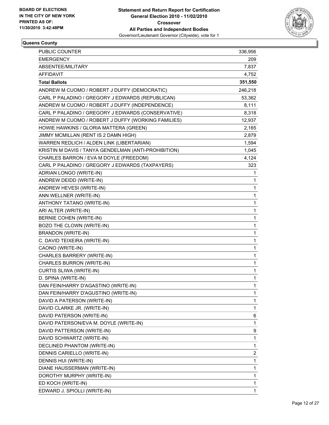

#### **Queens County**

| <b>PUBLIC COUNTER</b>                                | 336,956      |
|------------------------------------------------------|--------------|
| <b>EMERGENCY</b>                                     | 209          |
| ABSENTEE/MILITARY                                    | 7,837        |
| <b>AFFIDAVIT</b>                                     | 4,752        |
| <b>Total Ballots</b>                                 | 351,550      |
| ANDREW M CUOMO / ROBERT J DUFFY (DEMOCRATIC)         | 246,218      |
| CARL P PALADINO / GREGORY J EDWARDS (REPUBLICAN)     | 53,362       |
| ANDREW M CUOMO / ROBERT J DUFFY (INDEPENDENCE)       | 8,111        |
| CARL P PALADINO / GREGORY J EDWARDS (CONSERVATIVE)   | 8,318        |
| ANDREW M CUOMO / ROBERT J DUFFY (WORKING FAMILIES)   | 12,937       |
| HOWIE HAWKINS / GLORIA MATTERA (GREEN)               | 2,165        |
| JIMMY MCMILLAN (RENT IS 2 DAMN HIGH)                 | 2,879        |
| WARREN REDLICH / ALDEN LINK (LIBERTARIAN)            | 1,594        |
| KRISTIN M DAVIS / TANYA GENDELMAN (ANTI-PROHIBITION) | 1,045        |
| CHARLES BARRON / EVA M DOYLE (FREEDOM)               | 4,124        |
| CARL P PALADINO / GREGORY J EDWARDS (TAXPAYERS)      | 323          |
| ADRIAN LONGO (WRITE-IN)                              | 1            |
| ANDREW DEIDD (WRITE-IN)                              | 1            |
| ANDREW HEVESI (WRITE-IN)                             | 1            |
| ANN WELLNER (WRITE-IN)                               | 1            |
| ANTHONY TATANO (WRITE-IN)                            | 1            |
| ARI ALTER (WRITE-IN)                                 | 1            |
| <b>BERNIE COHEN (WRITE-IN)</b>                       | 1            |
| BOZO THE CLOWN (WRITE-IN)                            | 1            |
| <b>BRANDON (WRITE-IN)</b>                            | 1            |
| C. DAVID TEIXEIRA (WRITE-IN)                         | 1            |
| CAONO (WRITE-IN)                                     | 1            |
| CHARLES BARRERY (WRITE-IN)                           | 1            |
| CHARLES BURRON (WRITE-IN)                            | 1            |
| CURTIS SLIWA (WRITE-IN)                              | 1            |
| D. SPINA (WRITE-IN)                                  | 1            |
| DAN FEIN/HARRY D'AGASTINO (WRITE-IN)                 | 1            |
| DAN FEIN/HARRY D'AGUSTINO (WRITE-IN)                 | 1            |
| DAVID A PATERSON (WRITE-IN)                          | 1            |
| DAVID CLARKE JR. (WRITE-IN)                          | 1            |
| DAVID PATERSON (WRITE-IN)                            | 6            |
| DAVID PATERSON/EVA M. DOYLE (WRITE-IN)               | 1            |
| DAVID PATTERSON (WRITE-IN)                           | 9            |
| DAVID SCHWARTZ (WRITE-IN)                            | 1            |
| DECLINED PHANTOM (WRITE-IN)                          | 1            |
| DENNIS CARIELLO (WRITE-IN)                           | 2            |
| DENNIS HUI (WRITE-IN)                                | 1            |
| DIANE HAUSSERMAN (WRITE-IN)                          | 1            |
| DOROTHY MURPHY (WRITE-IN)                            | 1            |
| ED KOCH (WRITE-IN)                                   | 1            |
| EDWARD J. SPIOLLI (WRITE-IN)                         | $\mathbf{1}$ |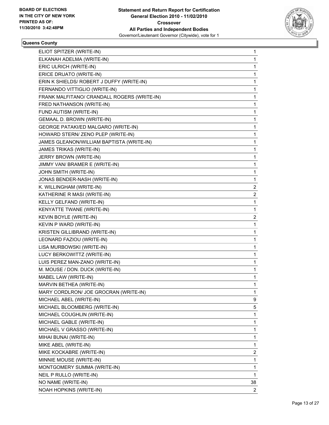

#### **Queens County**

| ELIOT SPITZER (WRITE-IN)                    | 1            |
|---------------------------------------------|--------------|
| ELKANAH ADELMA (WRITE-IN)                   | 1            |
| ERIC ULRICH (WRITE-IN)                      | 1            |
| ERICE DRUATO (WRITE-IN)                     | 1            |
| ERIN K SHIELDS/ ROBERT J DUFFY (WRITE-IN)   | 1            |
| FERNANDO VITTIGLIO (WRITE-IN)               | 1            |
| FRANK MALFITANO/ CRANDALL ROGERS (WRITE-IN) | 1            |
| FRED NATHANSON (WRITE-IN)                   | 1            |
| FUND AUTISM (WRITE-IN)                      | 1            |
| GEMAAL D. BROWN (WRITE-IN)                  | 1            |
| GEORGE PATAKI/ED MALGARO (WRITE-IN)         | 1            |
| HOWARD STERN/ ZENO PLEP (WRITE-IN)          | 1            |
| JAMES GLEANON/WILLIAM BAPTISTA (WRITE-IN)   | 1            |
| JAMES TRIKAS (WRITE-IN)                     | 1            |
| JERRY BROWN (WRITE-IN)                      | 1            |
| JIMMY VAN/ BRAMER E (WRITE-IN)              | 1            |
| JOHN SMITH (WRITE-IN)                       | 1            |
| JONAS BENDER-NASH (WRITE-IN)                | 1            |
| K. WILLINGHAM (WRITE-IN)                    | 2            |
| KATHERINE R MASI (WRITE-IN)                 | 2            |
| KELLY GELFAND (WRITE-IN)                    | 1            |
| KENYATTE TWANE (WRITE-IN)                   | 1            |
| KEVIN BOYLE (WRITE-IN)                      | 2            |
| KEVIN P WARD (WRITE-IN)                     | 1            |
| KRISTEN GILLIBRAND (WRITE-IN)               | 1            |
| LEONARD FAZIOU (WRITE-IN)                   | 1            |
| LISA MURBOWSKI (WRITE-IN)                   | 1            |
| LUCY BERKOWITTZ (WRITE-IN)                  | 1            |
| LUIS PEREZ MAN-ZANO (WRITE-IN)              | 1            |
| M. MOUSE / DON. DUCK (WRITE-IN)             | 1            |
| MABEL LAW (WRITE-IN)                        | 1            |
| MARVIN BETHEA (WRITE-IN)                    | 1            |
| MARY CORDLRON/ JOE GROCRAN (WRITE-IN)       | 1            |
| MICHAEL ABEL (WRITE-IN)                     | 9            |
| MICHAEL BLOOMBERG (WRITE-IN)                | 5            |
| MICHAEL COUGHLIN (WRITE-IN)                 | 1            |
| MICHAEL GABLE (WRITE-IN)                    | 1            |
| MICHAEL V GRASSO (WRITE-IN)                 | 1            |
| MIHAI BUNAI (WRITE-IN)                      | 1            |
| MIKE ABEL (WRITE-IN)                        | 1            |
| MIKE KOCKABRE (WRITE-IN)                    | 2            |
| MINNIE MOUSE (WRITE-IN)                     | 1            |
| MONTGOMERY SUMMA (WRITE-IN)                 | 1            |
| NEIL P RULLO (WRITE-IN)                     | 1            |
| NO NAME (WRITE-IN)                          | 38           |
| NOAH HOPKINS (WRITE-IN)                     | $\mathbf{2}$ |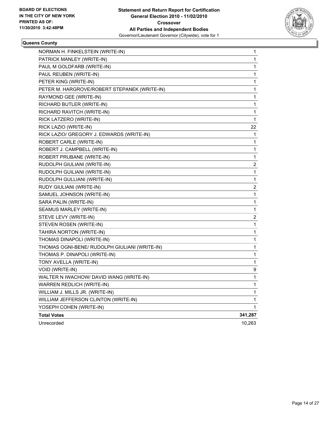

#### **Queens County**

| NORMAN H. FINKELSTEIN (WRITE-IN)              | 1       |
|-----------------------------------------------|---------|
| PATRICK MANLEY (WRITE-IN)                     | 1       |
| PAUL M GOLDFARB (WRITE-IN)                    | 1       |
| PAUL REUBEN (WRITE-IN)                        | 1       |
| PETER KING (WRITE-IN)                         | 1       |
| PETER M. HARGROVE/ROBERT STEPANEK (WRITE-IN)  | 1       |
| RAYMOND GEE (WRITE-IN)                        | 1       |
| RICHARD BUTLER (WRITE-IN)                     | 1       |
| RICHARD RAVITCH (WRITE-IN)                    | 1       |
| RICK LATZERO (WRITE-IN)                       | 1       |
| RICK LAZIO (WRITE-IN)                         | 22      |
| RICK LAZIO/ GREGORY J. EDWARDS (WRITE-IN)     | 1       |
| ROBERT CARLE (WRITE-IN)                       | 1       |
| ROBERT J. CAMPBELL (WRITE-IN)                 | 1       |
| ROBERT PRUBANE (WRITE-IN)                     | 1       |
| RUDOLPH GIULIANI (WRITE-IN)                   | 2       |
| RUDOLPH GUILIANI (WRITE-IN)                   | 1       |
| RUDOLPH GULLIANI (WRITE-IN)                   | 1       |
| RUDY GIULIANI (WRITE-IN)                      | 2       |
| SAMUEL JOHNSON (WRITE-IN)                     | 1       |
| SARA PALIN (WRITE-IN)                         | 1       |
| SEAMUS MARLEY (WRITE-IN)                      | 1       |
| STEVE LEVY (WRITE-IN)                         | 2       |
| STEVEN ROSEN (WRITE-IN)                       | 1       |
| TAHIRA NORTON (WRITE-IN)                      | 1       |
| THOMAS DINAPOLI (WRITE-IN)                    | 1       |
| THOMAS OGNI-BENE/ RUDOLPH GIULIANI (WRITE-IN) | 1       |
| THOMAS P. DINAPOLI (WRITE-IN)                 | 1       |
| TONY AVELLA (WRITE-IN)                        | 1       |
| VOID (WRITE-IN)                               | 9       |
| WALTER N IWACHOW/ DAVID WANG (WRITE-IN)       | 1       |
| WARREN REDLICH (WRITE-IN)                     | 1       |
| WILLIAM J. MILLS JR. (WRITE-IN)               | 1       |
| WILLIAM JEFFERSON CLINTON (WRITE-IN)          | 1       |
| YOSEPH COHEN (WRITE-IN)                       | 1       |
| <b>Total Votes</b>                            | 341,287 |
| Unrecorded                                    | 10,263  |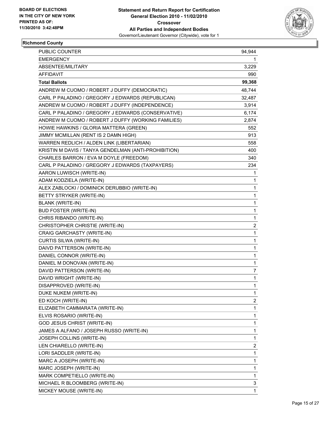

#### **Richmond County**

| <b>PUBLIC COUNTER</b>                                | 94,944       |
|------------------------------------------------------|--------------|
| <b>EMERGENCY</b>                                     | 1            |
| ABSENTEE/MILITARY                                    | 3,229        |
| AFFIDAVIT                                            | 990          |
| <b>Total Ballots</b>                                 | 99,368       |
| ANDREW M CUOMO / ROBERT J DUFFY (DEMOCRATIC)         | 48,744       |
| CARL P PALADINO / GREGORY J EDWARDS (REPUBLICAN)     | 32,487       |
| ANDREW M CUOMO / ROBERT J DUFFY (INDEPENDENCE)       | 3,914        |
| CARL P PALADINO / GREGORY J EDWARDS (CONSERVATIVE)   | 6,174        |
| ANDREW M CUOMO / ROBERT J DUFFY (WORKING FAMILIES)   | 2,874        |
| HOWIE HAWKINS / GLORIA MATTERA (GREEN)               | 552          |
| JIMMY MCMILLAN (RENT IS 2 DAMN HIGH)                 | 913          |
| WARREN REDLICH / ALDEN LINK (LIBERTARIAN)            | 558          |
| KRISTIN M DAVIS / TANYA GENDELMAN (ANTI-PROHIBITION) | 400          |
| CHARLES BARRON / EVA M DOYLE (FREEDOM)               | 340          |
| CARL P PALADINO / GREGORY J EDWARDS (TAXPAYERS)      | 234          |
| AARON LUWISCH (WRITE-IN)                             | 1            |
| ADAM KODZIELA (WRITE-IN)                             | 1            |
| ALEX ZABLOCKI / DOMINICK DERUBBIO (WRITE-IN)         | 1            |
| BETTY STRYKER (WRITE-IN)                             | 1            |
| <b>BLANK (WRITE-IN)</b>                              | $\mathbf{1}$ |
| <b>BUD FOSTER (WRITE-IN)</b>                         | 1            |
| CHRIS RIBANDO (WRITE-IN)                             | 1            |
| CHRISTOPHER CHRISTIE (WRITE-IN)                      | 2            |
| CRAIG GARCHASTY (WRITE-IN)                           | 1            |
| CURTIS SILWA (WRITE-IN)                              | 1            |
| DAIVD PATTERSON (WRITE-IN)                           | $\mathbf{1}$ |
| DANIEL CONNOR (WRITE-IN)                             | 1            |
| DANIEL M DONOVAN (WRITE-IN)                          | 1            |
| DAVID PATTERSON (WRITE-IN)                           | 7            |
| DAVID WRIGHT (WRITE-IN)                              | 1            |
| DISAPPROVED (WRITE-IN)                               | $\mathbf{1}$ |
| DUKE NUKEM (WRITE-IN)                                | 1            |
| ED KOCH (WRITE-IN)                                   | 2            |
| ELIZABETH CAMMARATA (WRITE-IN)                       | 1            |
| ELVIS ROSARIO (WRITE-IN)                             | 1            |
| <b>GOD JESUS CHRIST (WRITE-IN)</b>                   | 1            |
| JAMES A ALFANO / JOSEPH RUSSO (WRITE-IN)             | 1            |
| JOSEPH COLLINS (WRITE-IN)                            | 1            |
| LEN CHIARELLO (WRITE-IN)                             | 2            |
| LORI SADDLER (WRITE-IN)                              | 1            |
| MARC A JOSEPH (WRITE-IN)                             | $\mathbf{1}$ |
| MARC JOSEPH (WRITE-IN)                               | 1            |
| MARK COMPETIELLO (WRITE-IN)                          | 1            |
| MICHAEL R BLOOMBERG (WRITE-IN)                       | 3            |
| MICKEY MOUSE (WRITE-IN)                              | 1            |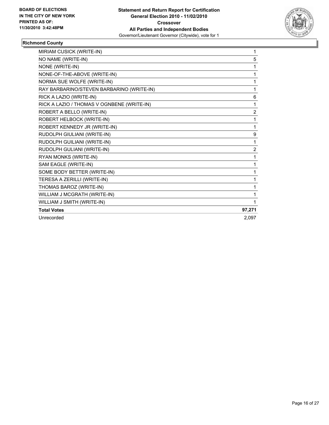

## **Richmond County**

| MIRIAM CUSICK (WRITE-IN)                   | 1              |
|--------------------------------------------|----------------|
| NO NAME (WRITE-IN)                         | 5              |
| NONE (WRITE-IN)                            | 1              |
| NONE-OF-THE-ABOVE (WRITE-IN)               | 1              |
| NORMA SUE WOLFE (WRITE-IN)                 | 1              |
| RAY BARBARINO/STEVEN BARBARINO (WRITE-IN)  | 1              |
| RICK A LAZIO (WRITE-IN)                    | 6              |
| RICK A LAZIO / THOMAS V OGNBENE (WRITE-IN) | 1              |
| ROBERT A BELLO (WRITE-IN)                  | 2              |
| ROBERT HELBOCK (WRITE-IN)                  | 1              |
| ROBERT KENNEDY JR (WRITE-IN)               | 1              |
| RUDOLPH GIULIANI (WRITE-IN)                | 9              |
| RUDOLPH GUILIANI (WRITE-IN)                | 1              |
| RUDOLPH GULIANI (WRITE-IN)                 | $\overline{2}$ |
| RYAN MONKS (WRITE-IN)                      | 1              |
| SAM EAGLE (WRITE-IN)                       | 1              |
| SOME BODY BETTER (WRITE-IN)                | 1              |
| TERESA A ZERILLI (WRITE-IN)                | 1              |
| THOMAS BAROZ (WRITE-IN)                    | 1              |
| WILLIAM J MCGRATH (WRITE-IN)               | 1              |
| WILLIAM J SMITH (WRITE-IN)                 | 1              |
| <b>Total Votes</b>                         | 97,271         |
| Unrecorded                                 | 2,097          |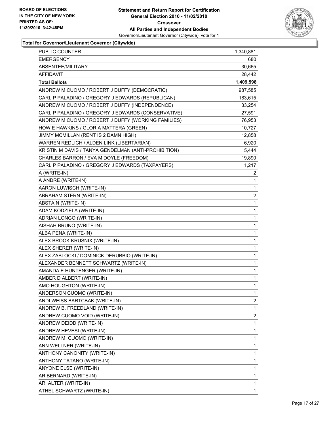

| PUBLIC COUNTER                                       | 1,340,881      |
|------------------------------------------------------|----------------|
| <b>EMERGENCY</b>                                     | 680            |
| ABSENTEE/MILITARY                                    | 30,665         |
| <b>AFFIDAVIT</b>                                     | 28,442         |
| <b>Total Ballots</b>                                 | 1,409,598      |
| ANDREW M CUOMO / ROBERT J DUFFY (DEMOCRATIC)         | 987,585        |
| CARL P PALADINO / GREGORY J EDWARDS (REPUBLICAN)     | 183,615        |
| ANDREW M CUOMO / ROBERT J DUFFY (INDEPENDENCE)       | 33,254         |
| CARL P PALADINO / GREGORY J EDWARDS (CONSERVATIVE)   | 27,591         |
| ANDREW M CUOMO / ROBERT J DUFFY (WORKING FAMILIES)   | 76,953         |
| HOWIE HAWKINS / GLORIA MATTERA (GREEN)               | 10,727         |
| JIMMY MCMILLAN (RENT IS 2 DAMN HIGH)                 | 12,858         |
| WARREN REDLICH / ALDEN LINK (LIBERTARIAN)            | 6,920          |
| KRISTIN M DAVIS / TANYA GENDELMAN (ANTI-PROHIBITION) | 5,444          |
| CHARLES BARRON / EVA M DOYLE (FREEDOM)               | 19,890         |
| CARL P PALADINO / GREGORY J EDWARDS (TAXPAYERS)      | 1,217          |
| A (WRITE-IN)                                         | 2              |
| A ANDRE (WRITE-IN)                                   | 1              |
| AARON LUWISCH (WRITE-IN)                             | 1              |
| ABRAHAM STERN (WRITE-IN)                             | $\overline{2}$ |
| ABSTAIN (WRITE-IN)                                   | 1              |
| ADAM KODZIELA (WRITE-IN)                             | 1              |
| ADRIAN LONGO (WRITE-IN)                              | 1              |
| AISHAH BRUNO (WRITE-IN)                              | 1              |
| ALBA PENA (WRITE-IN)                                 | 1              |
| ALEX BROOK KRUSNIX (WRITE-IN)                        | 1              |
| ALEX SHERER (WRITE-IN)                               | 1              |
| ALEX ZABLOCKI / DOMINICK DERUBBIO (WRITE-IN)         | 1              |
| ALEXANDER BENNETT SCHWARTZ (WRITE-IN)                | 1              |
| AMANDA E HUNTENGER (WRITE-IN)                        | 1              |
| AMBER D ALBERT (WRITE-IN)                            | 1              |
| AMO HOUGHTON (WRITE-IN)                              | 1              |
| ANDERSON CUOMO (WRITE-IN)                            | 1              |
| ANDI WEISS BARTCBAK (WRITE-IN)                       | 2              |
| ANDREW B. FREEDLAND (WRITE-IN)                       | 1              |
| ANDREW CUOMO VOID (WRITE-IN)                         | 2              |
| ANDREW DEIDD (WRITE-IN)                              | 1              |
| ANDREW HEVESI (WRITE-IN)                             | 1              |
| ANDREW M. CUOMO (WRITE-IN)                           | 1              |
| ANN WELLNER (WRITE-IN)                               | 1              |
| ANTHONY CANONITY (WRITE-IN)                          | 1              |
| ANTHONY TATANO (WRITE-IN)                            | 1              |
| ANYONE ELSE (WRITE-IN)                               | 1              |
| AR BERNARD (WRITE-IN)                                | 1              |
| ARI ALTER (WRITE-IN)                                 | 1              |
| ATHEL SCHWARTZ (WRITE-IN)                            | $\mathbf{1}$   |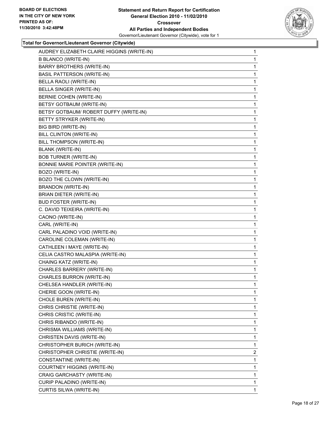

| AUDREY ELIZABETH CLAIRE HIGGINS (WRITE-IN) | 1 |
|--------------------------------------------|---|
| <b>B BLANCO (WRITE-IN)</b>                 | 1 |
| <b>BARRY BROTHERS (WRITE-IN)</b>           | 1 |
| <b>BASIL PATTERSON (WRITE-IN)</b>          | 1 |
| BELLA RAOLI (WRITE-IN)                     | 1 |
| BELLA SINGER (WRITE-IN)                    | 1 |
| BERNIE COHEN (WRITE-IN)                    | 1 |
| BETSY GOTBAUM (WRITE-IN)                   | 1 |
| BETSY GOTBAUM/ ROBERT DUFFY (WRITE-IN)     | 1 |
| BETTY STRYKER (WRITE-IN)                   | 1 |
| BIG BIRD (WRITE-IN)                        | 1 |
| BILL CLINTON (WRITE-IN)                    | 1 |
| BILL THOMPSON (WRITE-IN)                   | 1 |
| <b>BLANK (WRITE-IN)</b>                    | 1 |
| <b>BOB TURNER (WRITE-IN)</b>               | 1 |
| BONNIE MARIE POINTER (WRITE-IN)            | 1 |
| BOZO (WRITE-IN)                            | 1 |
| BOZO THE CLOWN (WRITE-IN)                  | 1 |
| <b>BRANDON (WRITE-IN)</b>                  | 1 |
| BRIAN DIETER (WRITE-IN)                    | 1 |
| <b>BUD FOSTER (WRITE-IN)</b>               | 1 |
| C. DAVID TEIXEIRA (WRITE-IN)               | 1 |
| CAONO (WRITE-IN)                           | 1 |
| CARL (WRITE-IN)                            | 1 |
| CARL PALADINO VOID (WRITE-IN)              | 1 |
| CAROLINE COLEMAN (WRITE-IN)                | 1 |
| CATHLEEN I MAYE (WRITE-IN)                 | 1 |
| CELIA CASTRO MALASPIA (WRITE-IN)           | 1 |
| CHAING KATZ (WRITE-IN)                     | 1 |
| CHARLES BARRERY (WRITE-IN)                 | 1 |
| CHARLES BURRON (WRITE-IN)                  | 1 |
| CHELSEA HANDLER (WRITE-IN)                 | 1 |
| CHERIE GOON (WRITE-IN)                     | 1 |
| CHOLE BUREN (WRITE-IN)                     | 1 |
| CHRIS CHRISTIE (WRITE-IN)                  | 1 |
| CHRIS CRISTIC (WRITE-IN)                   | 1 |
| CHRIS RIBANDO (WRITE-IN)                   | 1 |
| CHRISMA WILLIAMS (WRITE-IN)                | 1 |
| CHRISTEN DAVIS (WRITE-IN)                  | 1 |
| CHRISTOPHER BURICH (WRITE-IN)              | 1 |
| CHRISTOPHER CHRISTIE (WRITE-IN)            | 2 |
| CONSTANTINE (WRITE-IN)                     | 1 |
| COURTNEY HIGGINS (WRITE-IN)                | 1 |
| CRAIG GARCHASTY (WRITE-IN)                 | 1 |
| CURIP PALADINO (WRITE-IN)                  | 1 |
| CURTIS SILWA (WRITE-IN)                    | 1 |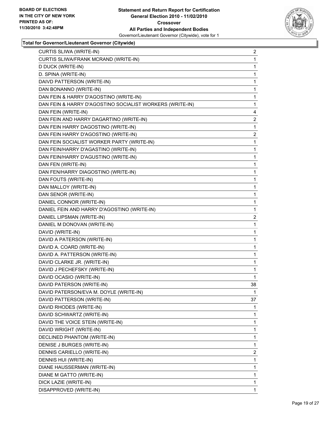

| CURTIS SLIWA (WRITE-IN)                                  | 2              |
|----------------------------------------------------------|----------------|
| CURTIS SLIWA/FRANK MCRAND (WRITE-IN)                     | 1              |
| D DUCK (WRITE-IN)                                        | 1              |
| D. SPINA (WRITE-IN)                                      | 1              |
| DAIVD PATTERSON (WRITE-IN)                               | 1              |
| DAN BONANNO (WRITE-IN)                                   | 1              |
| DAN FEIN & HARRY D'AGOSTINO (WRITE-IN)                   | 1              |
| DAN FEIN & HARRY D'AGOSTINO SOCIALIST WORKERS (WRITE-IN) | 1              |
| DAN FEIN (WRITE-IN)                                      | 4              |
| DAN FEIN AND HARRY DAGARTINO (WRITE-IN)                  | 2              |
| DAN FEIN HARRY DAGOSTINO (WRITE-IN)                      | 1              |
| DAN FEIN HARRY D'AGOSTINO (WRITE-IN)                     | 2              |
| DAN FEIN SOCIALIST WORKER PARTY (WRITE-IN)               | 1              |
| DAN FEIN/HARRY D'AGASTINO (WRITE-IN)                     | 1              |
| DAN FEIN/HARRY D'AGUSTINO (WRITE-IN)                     | 1              |
| DAN FEN (WRITE-IN)                                       | 1              |
| DAN FEN/HARRY DIAGOSTINO (WRITE-IN)                      | 1              |
| DAN FOUTS (WRITE-IN)                                     | 1              |
| DAN MALLOY (WRITE-IN)                                    | 1              |
| DAN SENOR (WRITE-IN)                                     | 1              |
| DANIEL CONNOR (WRITE-IN)                                 | 1              |
| DANIEL FEIN AND HARRY D'AGOSTINO (WRITE-IN)              | 1              |
| DANIEL LIPSMAN (WRITE-IN)                                | $\overline{2}$ |
| DANIEL M DONOVAN (WRITE-IN)                              | 1              |
| DAVID (WRITE-IN)                                         | 1              |
| DAVID A PATERSON (WRITE-IN)                              | 1              |
| DAVID A. COARD (WRITE-IN)                                | 1              |
| DAVID A. PATTERSON (WRITE-IN)                            | 1              |
| DAVID CLARKE JR. (WRITE-IN)                              | 1              |
| DAVID J PECHEFSKY (WRITE-IN)                             | 1              |
| DAVID OCASIO (WRITE-IN)                                  | 1              |
| DAVID PATERSON (WRITE-IN)                                | 38             |
| DAVID PATERSON/EVA M. DOYLE (WRITE-IN)                   | 1              |
| DAVID PATTERSON (WRITE-IN)                               | 37             |
| DAVID RHODES (WRITE-IN)                                  | 1              |
| DAVID SCHWARTZ (WRITE-IN)                                | 1              |
| DAVID THE VOICE STEIN (WRITE-IN)                         | 1              |
| DAVID WRIGHT (WRITE-IN)                                  | 1              |
| DECLINED PHANTOM (WRITE-IN)                              | 1              |
| DENISE J BURGES (WRITE-IN)                               | 1              |
| DENNIS CARIELLO (WRITE-IN)                               | 2              |
| DENNIS HUI (WRITE-IN)                                    | 1              |
| DIANE HAUSSERMAN (WRITE-IN)                              | 1              |
| DIANE M GATTO (WRITE-IN)                                 | 1              |
| DICK LAZIE (WRITE-IN)                                    | 1              |
| DISAPPROVED (WRITE-IN)                                   | 1              |
|                                                          |                |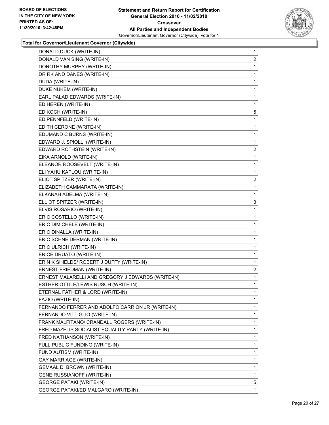

| DONALD DUCK (WRITE-IN)                            | $\mathbf{1}$   |
|---------------------------------------------------|----------------|
| DONALD VAN SING (WRITE-IN)                        | 2              |
| DOROTHY MURPHY (WRITE-IN)                         | 1              |
| DR RK AND DANES (WRITE-IN)                        | 1              |
| DUDA (WRITE-IN)                                   | 1              |
| DUKE NUKEM (WRITE-IN)                             | 1              |
| EARL PALAD EDWARDS (WRITE-IN)                     | 1              |
| ED HEREN (WRITE-IN)                               | 1              |
| ED KOCH (WRITE-IN)                                | 5              |
| ED PENNFELD (WRITE-IN)                            | 1              |
| EDITH CERONE (WRITE-IN)                           | 1              |
| EDUMAND C BURNS (WRITE-IN)                        | 1              |
| EDWARD J. SPIOLLI (WRITE-IN)                      | 1              |
| EDWARD ROTHSTEIN (WRITE-IN)                       | 2              |
| EIKA ARNOLD (WRITE-IN)                            | 1              |
| ELEANOR ROOSEVELT (WRITE-IN)                      | 1              |
| ELI YAHU KAPLOU (WRITE-IN)                        | 1              |
| ELIOT SPITZER (WRITE-IN)                          | $\overline{c}$ |
| ELIZABETH CAMMARATA (WRITE-IN)                    | 1              |
| ELKANAH ADELMA (WRITE-IN)                         | 1              |
| ELLIOT SPITZER (WRITE-IN)                         | 3              |
| ELVIS ROSARIO (WRITE-IN)                          | 1              |
| ERIC COSTELLO (WRITE-IN)                          | 1              |
| ERIC DIMICHELE (WRITE-IN)                         | 1              |
| ERIC DINALLA (WRITE-IN)                           | 1              |
| ERIC SCHNEIDERMAN (WRITE-IN)                      | 1              |
| ERIC ULRICH (WRITE-IN)                            | 1              |
| ERICE DRUATO (WRITE-IN)                           | 1              |
| ERIN K SHIELDS/ ROBERT J DUFFY (WRITE-IN)         | 1              |
| ERNEST FRIEDMAN (WRITE-IN)                        | $\overline{a}$ |
| ERNEST MALARELLI AND GREGORY J EDWARDS (WRITE-IN) | 1              |
| ESTHER OTTILE/LEWIS RUSCH (WRITE-IN)              | 1              |
| ETERNAL FATHER & LORD (WRITE-IN)                  | 1              |
| FAZIO (WRITE-IN)                                  | 1              |
| FERNANDO FERRER AND ADOLFO CARRION JR (WRITE-IN)  | 1              |
| FERNANDO VITTIGLIO (WRITE-IN)                     | 1              |
| FRANK MALFITANO/ CRANDALL ROGERS (WRITE-IN)       | 1              |
| FRED MAZELIS SOCIALIST EQUALITY PARTY (WRITE-IN)  | 1              |
| FRED NATHANSON (WRITE-IN)                         | 1              |
| FULL PUBLIC FUNDING (WRITE-IN)                    | 1              |
| FUND AUTISM (WRITE-IN)                            | 1              |
| <b>GAY MARRIAGE (WRITE-IN)</b>                    | 1              |
| GEMAAL D. BROWN (WRITE-IN)                        | 1              |
| GENE RUSSIANOFF (WRITE-IN)                        | 1              |
| <b>GEORGE PATAKI (WRITE-IN)</b>                   | 5              |
| GEORGE PATAKI/ED MALGARO (WRITE-IN)               | 1              |
|                                                   |                |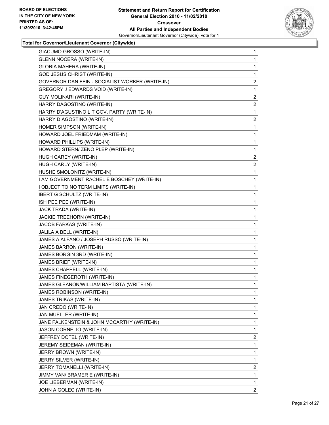

| GIACUMO GROSSO (WRITE-IN)                       | 1                       |
|-------------------------------------------------|-------------------------|
| <b>GLENN NOCERA (WRITE-IN)</b>                  | 1                       |
| <b>GLORIA MAHERA (WRITE-IN)</b>                 | 1                       |
| GOD JESUS CHRIST (WRITE-IN)                     | 1                       |
| GOVERNOR DAN FEIN - SOCIALIST WORKER (WRITE-IN) | 2                       |
| GREGORY J EDWARDS VOID (WRITE-IN)               | 1                       |
| <b>GUY MOLINARI (WRITE-IN)</b>                  | $\overline{2}$          |
| HARRY DAGOSTINO (WRITE-IN)                      | 2                       |
| HARRY D'AGUSTINO L.T GOV. PARTY (WRITE-IN)      | 1                       |
| HARRY DIAGOSTINO (WRITE-IN)                     | $\overline{2}$          |
| HOMER SIMPSON (WRITE-IN)                        | 1                       |
| HOWARD JOEL FRIEDMAM (WRITE-IN)                 | 1                       |
| HOWARD PHILLIPS (WRITE-IN)                      | 1                       |
| HOWARD STERN/ ZENO PLEP (WRITE-IN)              | 1                       |
| HUGH CAREY (WRITE-IN)                           | 2                       |
| HUGH CARLY (WRITE-IN)                           | $\overline{2}$          |
| HUSHE SMOLONITZ (WRITE-IN)                      | 1                       |
| I AM GOVERNMENT RACHEL E BOSCHEY (WRITE-IN)     | 1                       |
| I OBJECT TO NO TERM LIMITS (WRITE-IN)           | 1                       |
| <b>IBERT G SCHULTZ (WRITE-IN)</b>               | 1                       |
| ISH PEE PEE (WRITE-IN)                          | 1                       |
| JACK TRADA (WRITE-IN)                           | 1                       |
| JACKIE TREEHORN (WRITE-IN)                      | 1                       |
| JACOB FARKAS (WRITE-IN)                         | 1                       |
| JALILA A BELL (WRITE-IN)                        | 1                       |
| JAMES A ALFANO / JOSEPH RUSSO (WRITE-IN)        | 1                       |
| JAMES BARRON (WRITE-IN)                         | 1                       |
| JAMES BORGIN 3RD (WRITE-IN)                     | 1                       |
| JAMES BRIEF (WRITE-IN)                          | 1                       |
| JAMES CHAPPELL (WRITE-IN)                       | 1                       |
| JAMES FINEGEROTH (WRITE-IN)                     | 1                       |
| JAMES GLEANON/WILLIAM BAPTISTA (WRITE-IN)       | 1                       |
| JAMES ROBINSON (WRITE-IN)                       | 1                       |
| JAMES TRIKAS (WRITE-IN)                         | 1                       |
| JAN CREDO (WRITE-IN)                            | 1                       |
| JAN MUELLER (WRITE-IN)                          | 1                       |
| JANE FALKENSTEIN & JOHN MCCARTHY (WRITE-IN)     | 1                       |
| JASON CORNELIO (WRITE-IN)                       | 1                       |
| JEFFREY DOTEL (WRITE-IN)                        | $\overline{\mathbf{c}}$ |
| JEREMY SEIDEMAN (WRITE-IN)                      | 1                       |
| JERRY BROWN (WRITE-IN)                          | 1                       |
| JERRY SILVER (WRITE-IN)                         | 1                       |
| JERRY TOMANELLI (WRITE-IN)                      | 2                       |
| JIMMY VAN/ BRAMER E (WRITE-IN)                  | 1                       |
| JOE LIEBERMAN (WRITE-IN)                        | 1                       |
| JOHN A GOLEC (WRITE-IN)                         | $\overline{2}$          |
|                                                 |                         |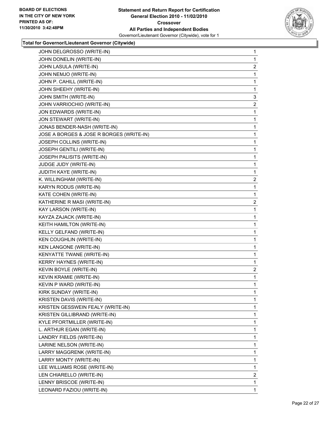

| JOHN DELGROSSO (WRITE-IN)                | 1              |
|------------------------------------------|----------------|
| JOHN DONELIN (WRITE-IN)                  | 1              |
| JOHN LASULA (WRITE-IN)                   | $\overline{2}$ |
| JOHN NEMJO (WRITE-IN)                    | 1              |
| JOHN P. CAHILL (WRITE-IN)                | 1              |
| JOHN SHEEHY (WRITE-IN)                   | 1              |
| JOHN SMITH (WRITE-IN)                    | 3              |
| JOHN VARRIOCHIO (WRITE-IN)               | $\overline{2}$ |
| JON EDWARDS (WRITE-IN)                   | 1              |
| JON STEWART (WRITE-IN)                   | 1              |
| JONAS BENDER-NASH (WRITE-IN)             | 1              |
| JOSE A BORGES & JOSE R BORGES (WRITE-IN) | 1              |
| JOSEPH COLLINS (WRITE-IN)                | 1              |
| JOSEPH GENTILI (WRITE-IN)                | 1              |
| JOSEPH PALISITS (WRITE-IN)               | 1              |
| JUDGE JUDY (WRITE-IN)                    | 1              |
| JUDITH KAYE (WRITE-IN)                   | 1              |
| K. WILLINGHAM (WRITE-IN)                 | $\overline{2}$ |
| KARYN RODUS (WRITE-IN)                   | 1              |
| KATE COHEN (WRITE-IN)                    | 1              |
| KATHERINE R MASI (WRITE-IN)              | $\overline{2}$ |
| KAY LARSON (WRITE-IN)                    | 1              |
| KAYZA ZAJACK (WRITE-IN)                  | 1              |
| KEITH HAMILTON (WRITE-IN)                | 1              |
| KELLY GELFAND (WRITE-IN)                 | 1              |
| KEN COUGHLIN (WRITE-IN)                  | 1              |
| KEN LANGONE (WRITE-IN)                   | 1              |
| KENYATTE TWANE (WRITE-IN)                | 1              |
| <b>KERRY HAYNES (WRITE-IN)</b>           | 1              |
| KEVIN BOYLE (WRITE-IN)                   | 2              |
| KEVIN KRAMIE (WRITE-IN)                  | 1              |
| KEVIN P WARD (WRITE-IN)                  | 1              |
| KIRK SUNDAY (WRITE-IN)                   | 1              |
| KRISTEN DAVIS (WRITE-IN)                 | 1              |
| KRISTEN GESSWEIN FEALY (WRITE-IN)        | 1              |
| KRISTEN GILLIBRAND (WRITE-IN)            | 1              |
| KYLE PFORTMILLER (WRITE-IN)              | 1              |
| L. ARTHUR EGAN (WRITE-IN)                | 1              |
| LANDRY FIELDS (WRITE-IN)                 | 1              |
| LARINE NELSON (WRITE-IN)                 | 1              |
| LARRY MAGGRENK (WRITE-IN)                | 1              |
| LARRY MONTY (WRITE-IN)                   | 1              |
| LEE WILLIAMS ROSE (WRITE-IN)             | 1              |
| LEN CHIARELLO (WRITE-IN)                 | 2              |
| LENNY BRISCOE (WRITE-IN)                 | 1              |
| LEONARD FAZIOU (WRITE-IN)                | 1.             |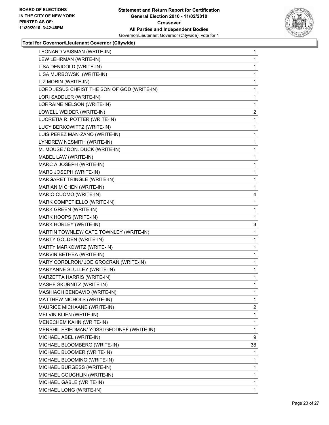

| LEONARD VAISMAN (WRITE-IN)                  | 1            |
|---------------------------------------------|--------------|
| LEW LEHRMAN (WRITE-IN)                      | 1            |
| LISA DENICOLD (WRITE-IN)                    | 1            |
| LISA MURBOWSKI (WRITE-IN)                   | 1            |
| LIZ MORIN (WRITE-IN)                        | 1            |
| LORD JESUS CHRIST THE SON OF GOD (WRITE-IN) | 1            |
| LORI SADDLER (WRITE-IN)                     | 1            |
| LORRAINE NELSON (WRITE-IN)                  | 1            |
| LOWELL WEIDER (WRITE-IN)                    | 2            |
| LUCRETIA R. POTTER (WRITE-IN)               | 1            |
| LUCY BERKOWITTZ (WRITE-IN)                  | 1            |
| LUIS PEREZ MAN-ZANO (WRITE-IN)              | 1            |
| LYNDREW NESMITH (WRITE-IN)                  | 1            |
| M. MOUSE / DON. DUCK (WRITE-IN)             | 1            |
| MABEL LAW (WRITE-IN)                        | 1            |
| MARC A JOSEPH (WRITE-IN)                    | 1            |
| MARC JOSEPH (WRITE-IN)                      | 1            |
| MARGARET TRINGLE (WRITE-IN)                 | 1            |
| MARIAN M CHEN (WRITE-IN)                    | 1            |
| MARIO CUOMO (WRITE-IN)                      | 4            |
| MARK COMPETIELLO (WRITE-IN)                 | 1            |
| MARK GREEN (WRITE-IN)                       | 1            |
| MARK HOOPS (WRITE-IN)                       | 1            |
| MARK HORLEY (WRITE-IN)                      | 3            |
| MARTIN TOWNLEY/ CATE TOWNLEY (WRITE-IN)     | 1            |
| MARTY GOLDEN (WRITE-IN)                     | 1            |
| MARTY MARKOWITZ (WRITE-IN)                  | 1            |
| MARVIN BETHEA (WRITE-IN)                    | 1            |
| MARY CORDLRON/ JOE GROCRAN (WRITE-IN)       | 1            |
| MARYANNE SLULLEY (WRITE-IN)                 | 1            |
| MARZETTA HARRIS (WRITE-IN)                  | 1            |
| MASHE SKURNITZ (WRITE-IN)                   | 1            |
| MASHIACH BENDAVID (WRITE-IN)                | 1            |
| MATTHEW NICHOLS (WRITE-IN)                  | $\mathbf{1}$ |
| MAURICE MICHAANE (WRITE-IN)                 | 2            |
| MELVIN KLIEN (WRITE-IN)                     | 1            |
| MENECHEM KAHN (WRITE-IN)                    | 1            |
| MERSHIL FRIEDMAN/ YOSSI GEDDNEF (WRITE-IN)  | 1            |
| MICHAEL ABEL (WRITE-IN)                     | 9            |
| MICHAEL BLOOMBERG (WRITE-IN)                | 38           |
| MICHAEL BLOOMER (WRITE-IN)                  | 1            |
| MICHAEL BLOOMING (WRITE-IN)                 | 1            |
| MICHAEL BURGESS (WRITE-IN)                  | 1            |
| MICHAEL COUGHLIN (WRITE-IN)                 | 1            |
| MICHAEL GABLE (WRITE-IN)                    | 1            |
| MICHAEL LONG (WRITE-IN)                     | 1            |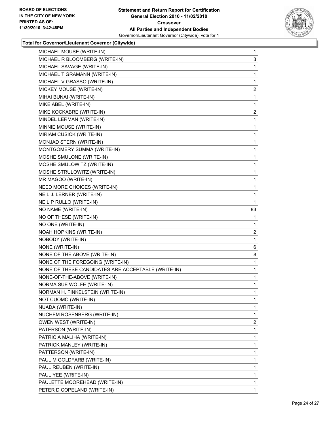

| MICHAEL MOUSE (WRITE-IN)                           | $\mathbf{1}$   |
|----------------------------------------------------|----------------|
| MICHAEL R BLOOMBERG (WRITE-IN)                     | 3              |
| MICHAEL SAVAGE (WRITE-IN)                          | 1              |
| MICHAEL T GRAMANN (WRITE-IN)                       | 1              |
| MICHAEL V GRASSO (WRITE-IN)                        | 1              |
| MICKEY MOUSE (WRITE-IN)                            | $\overline{2}$ |
| MIHAI BUNAI (WRITE-IN)                             | 1              |
| MIKE ABEL (WRITE-IN)                               | 1              |
| MIKE KOCKABRE (WRITE-IN)                           | $\overline{2}$ |
| MINDEL LERMAN (WRITE-IN)                           | 1              |
| MINNIE MOUSE (WRITE-IN)                            | 1              |
| MIRIAM CUSICK (WRITE-IN)                           | 1              |
| MONJAD STERN (WRITE-IN)                            | 1              |
| MONTGOMERY SUMMA (WRITE-IN)                        | 1              |
| MOSHE SMULONE (WRITE-IN)                           | 1              |
| MOSHE SMULOWITZ (WRITE-IN)                         | 1              |
| MOSHE STRULOWITZ (WRITE-IN)                        | 1              |
| MR MAGOO (WRITE-IN)                                | 1              |
| NEED MORE CHOICES (WRITE-IN)                       | 1              |
| NEIL J. LERNER (WRITE-IN)                          | 1              |
| NEIL P RULLO (WRITE-IN)                            | 1              |
| NO NAME (WRITE-IN)                                 | 83             |
| NO OF THESE (WRITE-IN)                             | 1              |
|                                                    |                |
| NO ONE (WRITE-IN)                                  | 1              |
| NOAH HOPKINS (WRITE-IN)                            | 2              |
| NOBODY (WRITE-IN)                                  | 1              |
| NONE (WRITE-IN)                                    | 6              |
| NONE OF THE ABOVE (WRITE-IN)                       | 8              |
| NONE OF THE FOREGOING (WRITE-IN)                   | 1              |
| NONE OF THESE CANDIDATES ARE ACCEPTABLE (WRITE-IN) | 1              |
| NONE-OF-THE-ABOVE (WRITE-IN)                       | 1              |
| NORMA SUE WOLFE (WRITE-IN)                         | $\mathbf{1}$   |
| NORMAN H. FINKELSTEIN (WRITE-IN)                   | 1              |
| NOT CUOMO (WRITE-IN)                               | 1              |
| NUADA (WRITE-IN)                                   | 1              |
| NUCHEM ROSENBERG (WRITE-IN)                        | 1              |
| OWEN WEST (WRITE-IN)                               | 2              |
| PATERSON (WRITE-IN)                                | 1              |
| PATRICIA MALIHA (WRITE-IN)                         | 1              |
| PATRICK MANLEY (WRITE-IN)                          | 1              |
| PATTERSON (WRITE-IN)                               | 1              |
| PAUL M GOLDFARB (WRITE-IN)                         | 1              |
| PAUL REUBEN (WRITE-IN)                             | 1              |
| PAUL YEE (WRITE-IN)                                | 1              |
| PAULETTE MOOREHEAD (WRITE-IN)                      | 1              |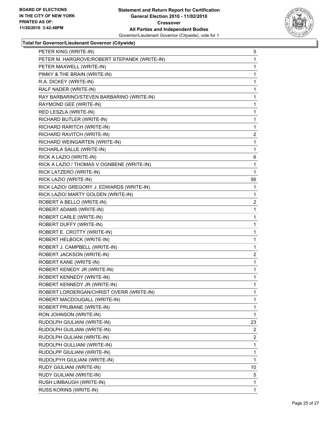

| PETER KING (WRITE-IN)                        | 5              |
|----------------------------------------------|----------------|
| PETER M. HARGROVE/ROBERT STEPANEK (WRITE-IN) | 1              |
| PETER MAXWELL (WRITE-IN)                     | 1              |
| PIMKY & THE BRAIN (WRITE-IN)                 | 1              |
| R.A. DICKEY (WRITE-IN)                       | 1              |
| RALF NADER (WRITE-IN)                        | 1              |
| RAY BARBARINO/STEVEN BARBARINO (WRITE-IN)    | 1              |
| RAYMOND GEE (WRITE-IN)                       | 1              |
| RED LESZLA (WRITE-IN)                        | 1              |
| RICHARD BUTLER (WRITE-IN)                    | 1              |
| RICHARD RARITCH (WRITE-IN)                   | 1              |
| RICHARD RAVITCH (WRITE-IN)                   | 2              |
| RICHARD WEINGARTEN (WRITE-IN)                | 1              |
| RICHARLA SALLE (WRITE-IN)                    | 1              |
| RICK A LAZIO (WRITE-IN)                      | 6              |
| RICK A LAZIO / THOMAS V OGNBENE (WRITE-IN)   | 1              |
| RICK LATZERO (WRITE-IN)                      | 1              |
| RICK LAZIO (WRITE-IN)                        | 56             |
| RICK LAZIO/ GREGORY J. EDWARDS (WRITE-IN)    | 1              |
| RICK LAZIO/ MARTY GOLDEN (WRITE-IN)          | 1              |
| ROBERT A BELLO (WRITE-IN)                    | $\overline{2}$ |
| ROBERT ADAMS (WRITE-IN)                      | 1              |
| ROBERT CARLE (WRITE-IN)                      | 1              |
| ROBERT DUFFY (WRITE-IN)                      | 1              |
| ROBERT E. CROTTY (WRITE-IN)                  | 1              |
| ROBERT HELBOCK (WRITE-IN)                    | 1              |
| ROBERT J. CAMPBELL (WRITE-IN)                | 1              |
| ROBERT JACKSON (WRITE-IN)                    | $\overline{2}$ |
| ROBERT KANE (WRITE-IN)                       | 1              |
| ROBERT KENEDY JR (WRITE-IN)                  | 1              |
| ROBERT KENNEDY (WRITE-IN)                    | 1              |
| ROBERT KENNEDY JR (WRITE-IN)                 | $\mathbf{1}$   |
| ROBERT LORDERGAN/CHRIST OVERR (WRITE-IN)     | 1              |
| ROBERT MACDOUGALL (WRITE-IN)                 | 1.             |
| ROBERT PRUBANE (WRITE-IN)                    | 1              |
| RON JOHNSON (WRITE-IN)                       | $\mathbf{1}$   |
| RUDOLPH GIULIANI (WRITE-IN)                  | 23             |
| RUDOLPH GUILIANI (WRITE-IN)                  | 2              |
| RUDOLPH GULIANI (WRITE-IN)                   | 2              |
| RUDOLPH GULLIANI (WRITE-IN)                  | 1              |
| RUDOLPP GIULIANI (WRITE-IN)                  | 1              |
| RUDOLPYH GIULIANI (WRITE-IN)                 | $\mathbf{1}$   |
| RUDY GIULIANI (WRITE-IN)                     | 10             |
| RUDY GUILIANI (WRITE-IN)                     | 5              |
| RUSH LIMBAUGH (WRITE-IN)                     | 1              |
| RUSS KORINS (WRITE-IN)                       | 1.             |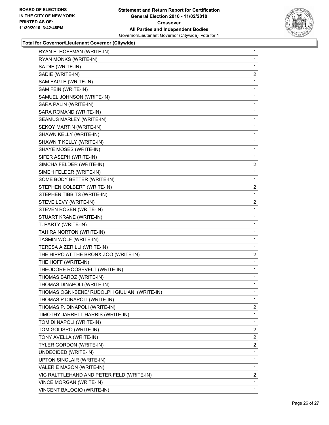

| RYAN E. HOFFMAN (WRITE-IN)                    | $\mathbf{1}$   |
|-----------------------------------------------|----------------|
| RYAN MONKS (WRITE-IN)                         | 1              |
| SA DIE (WRITE-IN)                             | 1              |
| SADIE (WRITE-IN)                              | 2              |
| SAM EAGLE (WRITE-IN)                          | 1              |
| SAM FEIN (WRITE-IN)                           | 1              |
| SAMUEL JOHNSON (WRITE-IN)                     | 1              |
| SARA PALIN (WRITE-IN)                         | 1              |
| SARA ROMAND (WRITE-IN)                        | 1              |
| SEAMUS MARLEY (WRITE-IN)                      | 1              |
| SEKOY MARTIN (WRITE-IN)                       | 1              |
| SHAWN KELLY (WRITE-IN)                        | 1              |
| SHAWN T KELLY (WRITE-IN)                      | 1              |
| SHAYE MOSES (WRITE-IN)                        | 1              |
| SIFER ASEPH (WRITE-IN)                        | 1              |
| SIMCHA FELDER (WRITE-IN)                      | 2              |
| SIMEH FELDER (WRITE-IN)                       | 1              |
| SOME BODY BETTER (WRITE-IN)                   | 1              |
| STEPHEN COLBERT (WRITE-IN)                    | 2              |
| STEPHEN TIBBITS (WRITE-IN)                    | 1              |
| STEVE LEVY (WRITE-IN)                         | 2              |
| STEVEN ROSEN (WRITE-IN)                       | 1              |
| STUART KRANE (WRITE-IN)                       | 1              |
| T. PARTY (WRITE-IN)                           | 1              |
| TAHIRA NORTON (WRITE-IN)                      | 1              |
| TASMIN WOLF (WRITE-IN)                        | 1              |
| TERESA A ZERILLI (WRITE-IN)                   | 1              |
| THE HIPPO AT THE BRONX ZOO (WRITE-IN)         | 2              |
| THE HOFF (WRITE-IN)                           | 1              |
| THEODORE ROOSEVELT (WRITE-IN)                 | 1              |
| THOMAS BAROZ (WRITE-IN)                       | 1              |
| THOMAS DINAPOLI (WRITE-IN)                    | 1              |
| THOMAS OGNI-BENE/ RUDOLPH GIULIANI (WRITE-IN) | 1              |
| THOMAS P DINAPOLI (WRITE-IN)                  | $\mathbf{1}$   |
| THOMAS P. DINAPOLI (WRITE-IN)                 | 2              |
| TIMOTHY JARRETT HARRIS (WRITE-IN)             | 1              |
| TOM DI NAPOLI (WRITE-IN)                      | 1              |
| TOM GOLISRO (WRITE-IN)                        | 2              |
| TONY AVELLA (WRITE-IN)                        | 2              |
| TYLER GORDON (WRITE-IN)                       | $\overline{2}$ |
| UNDECIDED (WRITE-IN)                          | 1              |
| UPTON SINCLAIR (WRITE-IN)                     | 1              |
| VALERIE MASON (WRITE-IN)                      | 1              |
| VIC RALTTLEHAND AND PETER FELD (WRITE-IN)     | 2              |
| VINCE MORGAN (WRITE-IN)                       | 1              |
| VINCENT BALOGIO (WRITE-IN)                    | $\mathbf{1}$   |